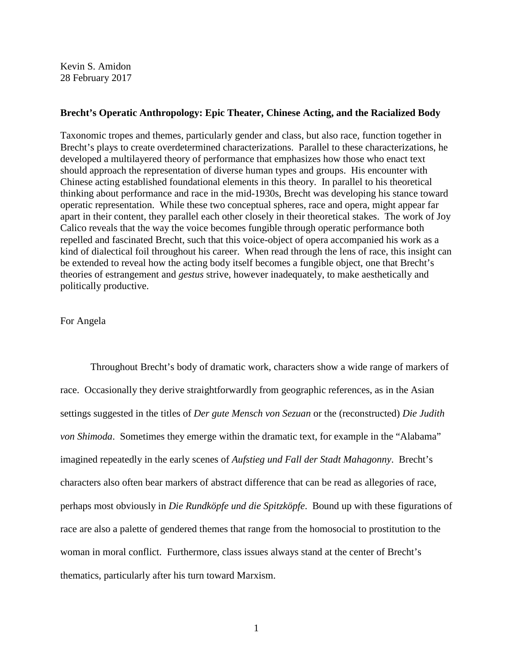Kevin S. Amidon 28 February 2017

## **Brecht's Operatic Anthropology: Epic Theater, Chinese Acting, and the Racialized Body**

Taxonomic tropes and themes, particularly gender and class, but also race, function together in Brecht's plays to create overdetermined characterizations. Parallel to these characterizations, he developed a multilayered theory of performance that emphasizes how those who enact text should approach the representation of diverse human types and groups. His encounter with Chinese acting established foundational elements in this theory. In parallel to his theoretical thinking about performance and race in the mid-1930s, Brecht was developing his stance toward operatic representation. While these two conceptual spheres, race and opera, might appear far apart in their content, they parallel each other closely in their theoretical stakes. The work of Joy Calico reveals that the way the voice becomes fungible through operatic performance both repelled and fascinated Brecht, such that this voice-object of opera accompanied his work as a kind of dialectical foil throughout his career. When read through the lens of race, this insight can be extended to reveal how the acting body itself becomes a fungible object, one that Brecht's theories of estrangement and *gestus* strive, however inadequately, to make aesthetically and politically productive.

For Angela

Throughout Brecht's body of dramatic work, characters show a wide range of markers of race. Occasionally they derive straightforwardly from geographic references, as in the Asian settings suggested in the titles of *Der gute Mensch von Sezuan* or the (reconstructed) *Die Judith von Shimoda*. Sometimes they emerge within the dramatic text, for example in the "Alabama" imagined repeatedly in the early scenes of *Aufstieg und Fall der Stadt Mahagonny*. Brecht's characters also often bear markers of abstract difference that can be read as allegories of race, perhaps most obviously in *Die Rundköpfe und die Spitzköpfe*. Bound up with these figurations of race are also a palette of gendered themes that range from the homosocial to prostitution to the woman in moral conflict. Furthermore, class issues always stand at the center of Brecht's thematics, particularly after his turn toward Marxism.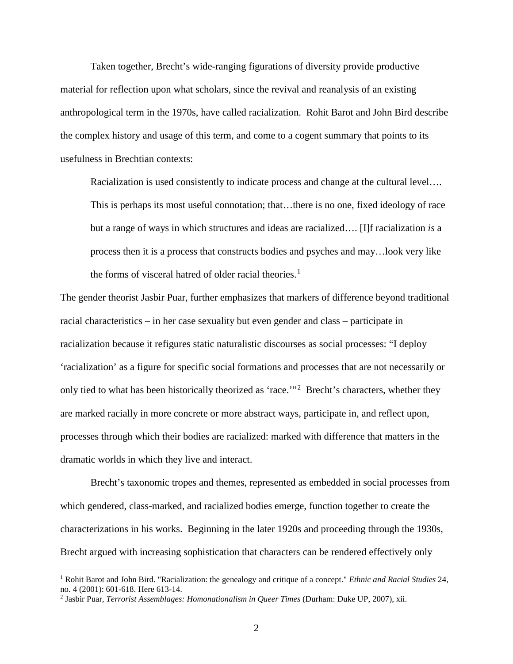Taken together, Brecht's wide-ranging figurations of diversity provide productive material for reflection upon what scholars, since the revival and reanalysis of an existing anthropological term in the 1970s, have called racialization. Rohit Barot and John Bird describe the complex history and usage of this term, and come to a cogent summary that points to its usefulness in Brechtian contexts:

Racialization is used consistently to indicate process and change at the cultural level…. This is perhaps its most useful connotation; that…there is no one, fixed ideology of race but a range of ways in which structures and ideas are racialized…. [I]f racialization *is* a process then it is a process that constructs bodies and psyches and may…look very like the forms of visceral hatred of older racial theories.<sup>[1](#page-1-0)</sup>

The gender theorist Jasbir Puar, further emphasizes that markers of difference beyond traditional racial characteristics – in her case sexuality but even gender and class – participate in racialization because it refigures static naturalistic discourses as social processes: "I deploy 'racialization' as a figure for specific social formations and processes that are not necessarily or only tied to what has been historically theorized as 'race.'"<sup>[2](#page-1-1)</sup> Brecht's characters, whether they are marked racially in more concrete or more abstract ways, participate in, and reflect upon, processes through which their bodies are racialized: marked with difference that matters in the dramatic worlds in which they live and interact.

Brecht's taxonomic tropes and themes, represented as embedded in social processes from which gendered, class-marked, and racialized bodies emerge, function together to create the characterizations in his works. Beginning in the later 1920s and proceeding through the 1930s, Brecht argued with increasing sophistication that characters can be rendered effectively only

<span id="page-1-0"></span> <sup>1</sup> Rohit Barot and John Bird. "Racialization: the genealogy and critique of a concept." *Ethnic and Racial Studies* 24, no. 4 (2001): 601-618. Here 613-14.

<span id="page-1-1"></span><sup>2</sup> Jasbir Puar, *Terrorist Assemblages: Homonationalism in Queer Times* (Durham: Duke UP, 2007), xii.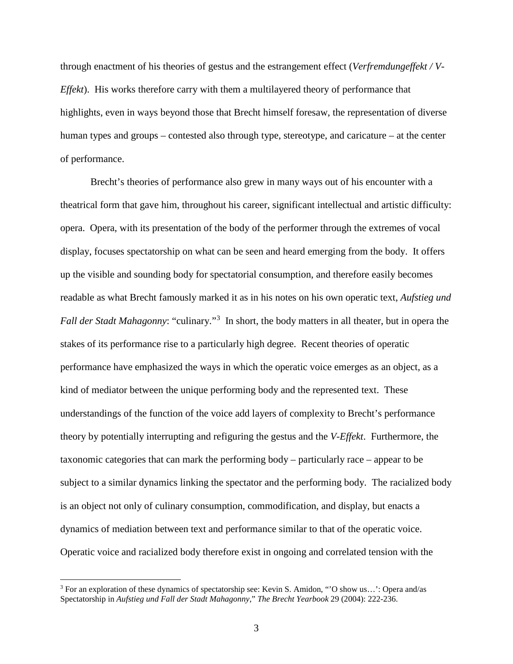through enactment of his theories of gestus and the estrangement effect (*Verfremdungeffekt / V-Effekt*). His works therefore carry with them a multilayered theory of performance that highlights, even in ways beyond those that Brecht himself foresaw, the representation of diverse human types and groups – contested also through type, stereotype, and caricature – at the center of performance.

Brecht's theories of performance also grew in many ways out of his encounter with a theatrical form that gave him, throughout his career, significant intellectual and artistic difficulty: opera. Opera, with its presentation of the body of the performer through the extremes of vocal display, focuses spectatorship on what can be seen and heard emerging from the body. It offers up the visible and sounding body for spectatorial consumption, and therefore easily becomes readable as what Brecht famously marked it as in his notes on his own operatic text, *Aufstieg und*  Fall der Stadt Mahagonny: "culinary."<sup>[3](#page-2-0)</sup> In short, the body matters in all theater, but in opera the stakes of its performance rise to a particularly high degree. Recent theories of operatic performance have emphasized the ways in which the operatic voice emerges as an object, as a kind of mediator between the unique performing body and the represented text. These understandings of the function of the voice add layers of complexity to Brecht's performance theory by potentially interrupting and refiguring the gestus and the *V-Effekt*. Furthermore, the taxonomic categories that can mark the performing body – particularly race – appear to be subject to a similar dynamics linking the spectator and the performing body. The racialized body is an object not only of culinary consumption, commodification, and display, but enacts a dynamics of mediation between text and performance similar to that of the operatic voice. Operatic voice and racialized body therefore exist in ongoing and correlated tension with the

<span id="page-2-0"></span> <sup>3</sup> For an exploration of these dynamics of spectatorship see: Kevin S. Amidon, "'O show us…': Opera and/as Spectatorship in *Aufstieg und Fall der Stadt Mahagonny*," *The Brecht Yearbook* 29 (2004): 222-236.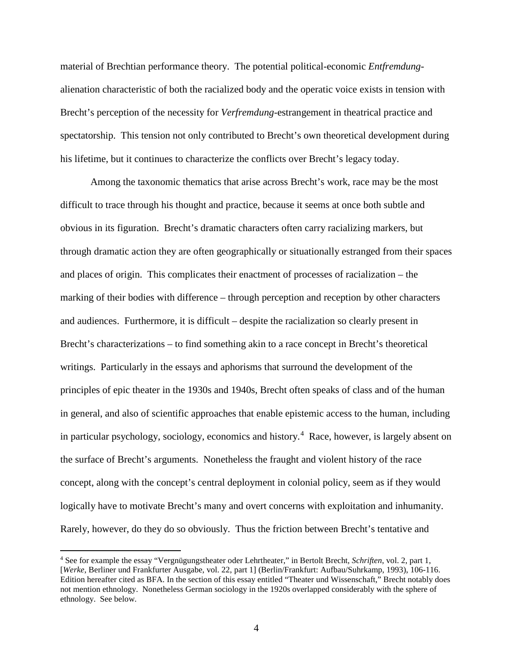material of Brechtian performance theory. The potential political-economic *Entfremdung*alienation characteristic of both the racialized body and the operatic voice exists in tension with Brecht's perception of the necessity for *Verfremdung*-estrangement in theatrical practice and spectatorship. This tension not only contributed to Brecht's own theoretical development during his lifetime, but it continues to characterize the conflicts over Brecht's legacy today.

Among the taxonomic thematics that arise across Brecht's work, race may be the most difficult to trace through his thought and practice, because it seems at once both subtle and obvious in its figuration. Brecht's dramatic characters often carry racializing markers, but through dramatic action they are often geographically or situationally estranged from their spaces and places of origin. This complicates their enactment of processes of racialization – the marking of their bodies with difference – through perception and reception by other characters and audiences. Furthermore, it is difficult – despite the racialization so clearly present in Brecht's characterizations – to find something akin to a race concept in Brecht's theoretical writings. Particularly in the essays and aphorisms that surround the development of the principles of epic theater in the 1930s and 1940s, Brecht often speaks of class and of the human in general, and also of scientific approaches that enable epistemic access to the human, including in particular psychology, sociology, economics and history.<sup>[4](#page-3-0)</sup> Race, however, is largely absent on the surface of Brecht's arguments. Nonetheless the fraught and violent history of the race concept, along with the concept's central deployment in colonial policy, seem as if they would logically have to motivate Brecht's many and overt concerns with exploitation and inhumanity. Rarely, however, do they do so obviously. Thus the friction between Brecht's tentative and

<span id="page-3-0"></span> <sup>4</sup> See for example the essay "Vergnügungstheater oder Lehrtheater," in Bertolt Brecht, *Schriften*, vol. 2, part 1, [*Werke*, Berliner und Frankfurter Ausgabe, vol. 22, part 1] (Berlin/Frankfurt: Aufbau/Suhrkamp, 1993), 106-116. Edition hereafter cited as BFA. In the section of this essay entitled "Theater und Wissenschaft," Brecht notably does not mention ethnology. Nonetheless German sociology in the 1920s overlapped considerably with the sphere of ethnology. See below.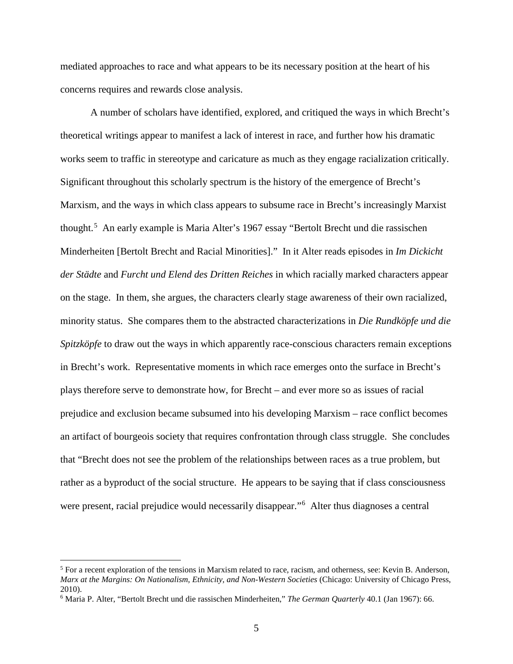mediated approaches to race and what appears to be its necessary position at the heart of his concerns requires and rewards close analysis.

A number of scholars have identified, explored, and critiqued the ways in which Brecht's theoretical writings appear to manifest a lack of interest in race, and further how his dramatic works seem to traffic in stereotype and caricature as much as they engage racialization critically. Significant throughout this scholarly spectrum is the history of the emergence of Brecht's Marxism, and the ways in which class appears to subsume race in Brecht's increasingly Marxist thought. [5](#page-4-0) An early example is Maria Alter's 1967 essay "Bertolt Brecht und die rassischen Minderheiten [Bertolt Brecht and Racial Minorities]." In it Alter reads episodes in *Im Dickicht der Städte* and *Furcht und Elend des Dritten Reiches* in which racially marked characters appear on the stage. In them, she argues, the characters clearly stage awareness of their own racialized, minority status. She compares them to the abstracted characterizations in *Die Rundköpfe und die Spitzköpfe* to draw out the ways in which apparently race-conscious characters remain exceptions in Brecht's work. Representative moments in which race emerges onto the surface in Brecht's plays therefore serve to demonstrate how, for Brecht – and ever more so as issues of racial prejudice and exclusion became subsumed into his developing Marxism – race conflict becomes an artifact of bourgeois society that requires confrontation through class struggle. She concludes that "Brecht does not see the problem of the relationships between races as a true problem, but rather as a byproduct of the social structure. He appears to be saying that if class consciousness were present, racial prejudice would necessarily disappear."<sup>[6](#page-4-1)</sup> Alter thus diagnoses a central

<span id="page-4-0"></span> <sup>5</sup> For a recent exploration of the tensions in Marxism related to race, racism, and otherness, see: Kevin B. Anderson, *Marx at the Margins: On Nationalism, Ethnicity, and Non-Western Societies* (Chicago: University of Chicago Press, 2010).

<span id="page-4-1"></span><sup>6</sup> Maria P. Alter, "Bertolt Brecht und die rassischen Minderheiten," *The German Quarterly* 40.1 (Jan 1967): 66.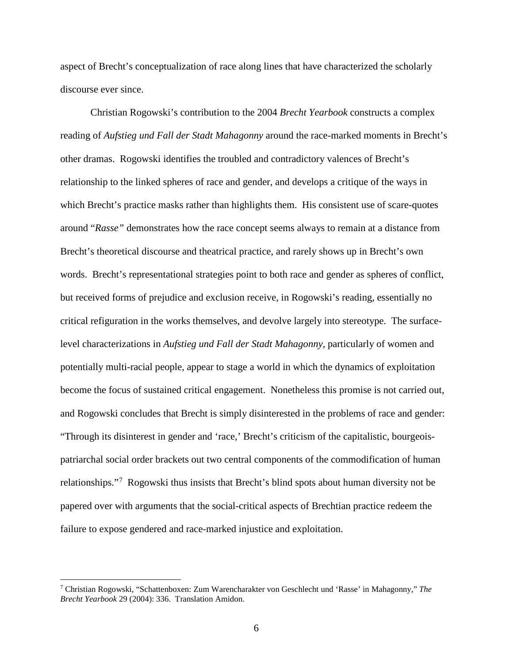aspect of Brecht's conceptualization of race along lines that have characterized the scholarly discourse ever since.

Christian Rogowski's contribution to the 2004 *Brecht Yearbook* constructs a complex reading of *Aufstieg und Fall der Stadt Mahagonny* around the race-marked moments in Brecht's other dramas. Rogowski identifies the troubled and contradictory valences of Brecht's relationship to the linked spheres of race and gender, and develops a critique of the ways in which Brecht's practice masks rather than highlights them. His consistent use of scare-quotes around "*Rasse"* demonstrates how the race concept seems always to remain at a distance from Brecht's theoretical discourse and theatrical practice, and rarely shows up in Brecht's own words. Brecht's representational strategies point to both race and gender as spheres of conflict, but received forms of prejudice and exclusion receive, in Rogowski's reading, essentially no critical refiguration in the works themselves, and devolve largely into stereotype. The surfacelevel characterizations in *Aufstieg und Fall der Stadt Mahagonny*, particularly of women and potentially multi-racial people, appear to stage a world in which the dynamics of exploitation become the focus of sustained critical engagement. Nonetheless this promise is not carried out, and Rogowski concludes that Brecht is simply disinterested in the problems of race and gender: "Through its disinterest in gender and 'race,' Brecht's criticism of the capitalistic, bourgeoispatriarchal social order brackets out two central components of the commodification of human relationships."<sup>[7](#page-5-0)</sup> Rogowski thus insists that Brecht's blind spots about human diversity not be papered over with arguments that the social-critical aspects of Brechtian practice redeem the failure to expose gendered and race-marked injustice and exploitation.

<span id="page-5-0"></span> <sup>7</sup> Christian Rogowski, "Schattenboxen: Zum Warencharakter von Geschlecht und 'Rasse' in Mahagonny," *The Brecht Yearbook* 29 (2004): 336. Translation Amidon.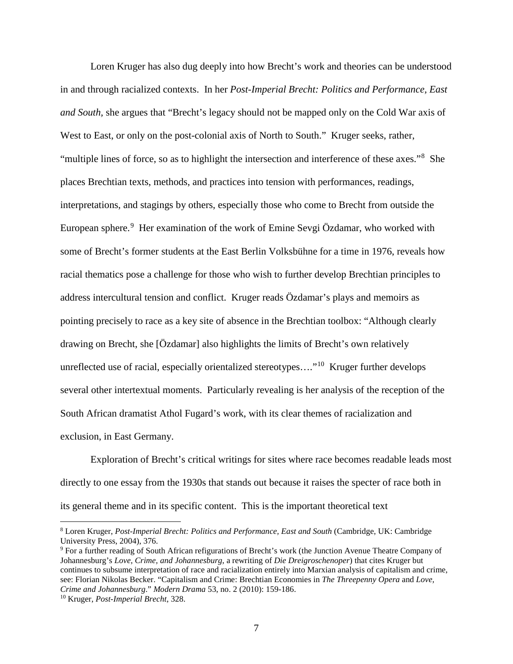Loren Kruger has also dug deeply into how Brecht's work and theories can be understood in and through racialized contexts. In her *Post-Imperial Brecht: Politics and Performance, East and South,* she argues that "Brecht's legacy should not be mapped only on the Cold War axis of West to East, or only on the post-colonial axis of North to South." Kruger seeks, rather, "multiple lines of force, so as to highlight the intersection and interference of these axes."<sup>[8](#page-6-0)</sup> She places Brechtian texts, methods, and practices into tension with performances, readings, interpretations, and stagings by others, especially those who come to Brecht from outside the European sphere.<sup>[9](#page-6-1)</sup> Her examination of the work of Emine Sevgi Özdamar, who worked with some of Brecht's former students at the East Berlin Volksbühne for a time in 1976, reveals how racial thematics pose a challenge for those who wish to further develop Brechtian principles to address intercultural tension and conflict. Kruger reads Özdamar's plays and memoirs as pointing precisely to race as a key site of absence in the Brechtian toolbox: "Although clearly drawing on Brecht, she [Özdamar] also highlights the limits of Brecht's own relatively unreflected use of racial, especially orientalized stereotypes...."<sup>[10](#page-6-2)</sup> Kruger further develops several other intertextual moments. Particularly revealing is her analysis of the reception of the South African dramatist Athol Fugard's work, with its clear themes of racialization and exclusion, in East Germany.

Exploration of Brecht's critical writings for sites where race becomes readable leads most directly to one essay from the 1930s that stands out because it raises the specter of race both in its general theme and in its specific content. This is the important theoretical text

<span id="page-6-0"></span> <sup>8</sup> Loren Kruger, *Post-Imperial Brecht: Politics and Performance, East and South* (Cambridge, UK: Cambridge University Press, 2004), 376.

<span id="page-6-1"></span><sup>9</sup> For a further reading of South African refigurations of Brecht's work (the Junction Avenue Theatre Company of Johannesburg's *Love, Crime, and Johannesburg*, a rewriting of *Die Dreigroschenoper*) that cites Kruger but continues to subsume interpretation of race and racialization entirely into Marxian analysis of capitalism and crime, see: Florian Nikolas Becker. "Capitalism and Crime: Brechtian Economies in *The Threepenny Opera* and *Love, Crime and Johannesburg*." *Modern Drama* 53, no. 2 (2010): 159-186.

<span id="page-6-2"></span><sup>10</sup> Kruger, *Post-Imperial Brecht*, 328.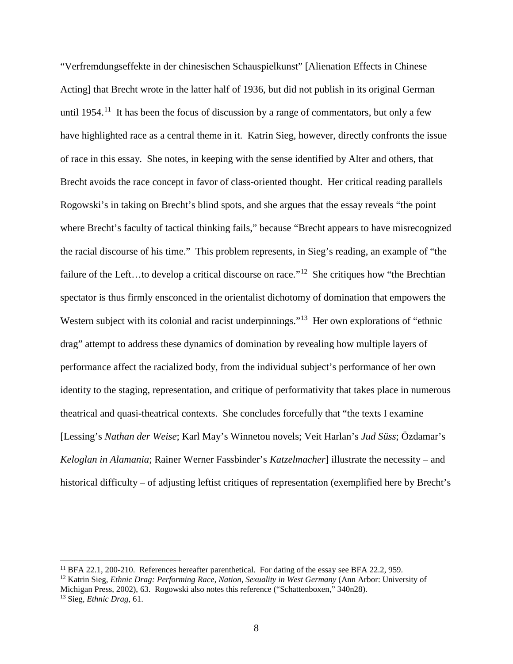"Verfremdungseffekte in der chinesischen Schauspielkunst" [Alienation Effects in Chinese Acting] that Brecht wrote in the latter half of 1936, but did not publish in its original German until 1954.<sup>11</sup> It has been the focus of discussion by a range of commentators, but only a few have highlighted race as a central theme in it. Katrin Sieg, however, directly confronts the issue of race in this essay. She notes, in keeping with the sense identified by Alter and others, that Brecht avoids the race concept in favor of class-oriented thought. Her critical reading parallels Rogowski's in taking on Brecht's blind spots, and she argues that the essay reveals "the point where Brecht's faculty of tactical thinking fails," because "Brecht appears to have misrecognized the racial discourse of his time." This problem represents, in Sieg's reading, an example of "the failure of the Left...to develop a critical discourse on race."<sup>[12](#page-7-1)</sup> She critiques how "the Brechtian" spectator is thus firmly ensconced in the orientalist dichotomy of domination that empowers the Western subject with its colonial and racist underpinnings."<sup>[13](#page-7-2)</sup> Her own explorations of "ethnic drag" attempt to address these dynamics of domination by revealing how multiple layers of performance affect the racialized body, from the individual subject's performance of her own identity to the staging, representation, and critique of performativity that takes place in numerous theatrical and quasi-theatrical contexts. She concludes forcefully that "the texts I examine [Lessing's *Nathan der Weise*; Karl May's Winnetou novels; Veit Harlan's *Jud Süss*; Özdamar's *Keloglan in Alamania*; Rainer Werner Fassbinder's *Katzelmacher*] illustrate the necessity – and historical difficulty – of adjusting leftist critiques of representation (exemplified here by Brecht's

<span id="page-7-0"></span><sup>&</sup>lt;sup>11</sup> BFA 22.1, 200-210. References hereafter parenthetical. For dating of the essay see BFA 22.2, 959.

<span id="page-7-1"></span><sup>12</sup> Katrin Sieg, *Ethnic Drag: Performing Race, Nation, Sexuality in West Germany* (Ann Arbor: University of Michigan Press, 2002), 63. Rogowski also notes this reference ("Schattenboxen," 340n28).

<span id="page-7-2"></span><sup>13</sup> Sieg, *Ethnic Drag*, 61.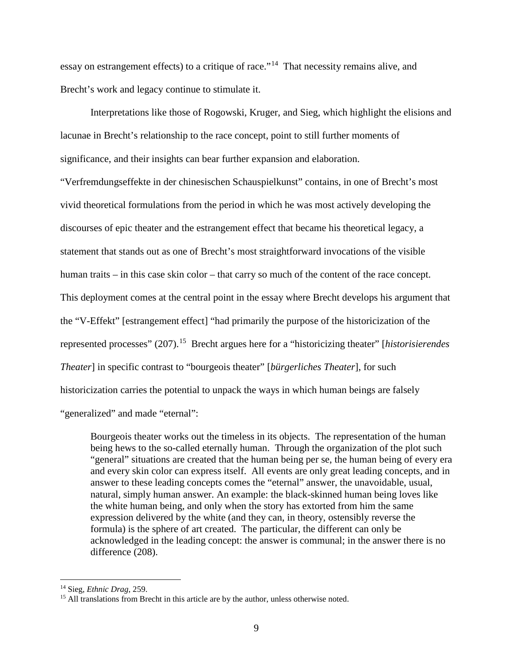essay on estrangement effects) to a critique of race."[14](#page-8-0) That necessity remains alive, and Brecht's work and legacy continue to stimulate it.

Interpretations like those of Rogowski, Kruger, and Sieg, which highlight the elisions and lacunae in Brecht's relationship to the race concept, point to still further moments of significance, and their insights can bear further expansion and elaboration.

"Verfremdungseffekte in der chinesischen Schauspielkunst" contains, in one of Brecht's most vivid theoretical formulations from the period in which he was most actively developing the discourses of epic theater and the estrangement effect that became his theoretical legacy, a statement that stands out as one of Brecht's most straightforward invocations of the visible human traits – in this case skin color – that carry so much of the content of the race concept. This deployment comes at the central point in the essay where Brecht develops his argument that the "V-Effekt" [estrangement effect] "had primarily the purpose of the historicization of the represented processes" (207).[15](#page-8-1) Brecht argues here for a "historicizing theater" [*historisierendes Theater*] in specific contrast to "bourgeois theater" [*bürgerliches Theater*], for such historicization carries the potential to unpack the ways in which human beings are falsely "generalized" and made "eternal":

Bourgeois theater works out the timeless in its objects. The representation of the human being hews to the so-called eternally human. Through the organization of the plot such "general" situations are created that the human being per se, the human being of every era and every skin color can express itself. All events are only great leading concepts, and in answer to these leading concepts comes the "eternal" answer, the unavoidable, usual, natural, simply human answer. An example: the black-skinned human being loves like the white human being, and only when the story has extorted from him the same expression delivered by the white (and they can, in theory, ostensibly reverse the formula) is the sphere of art created. The particular, the different can only be acknowledged in the leading concept: the answer is communal; in the answer there is no difference (208).

<span id="page-8-0"></span> <sup>14</sup> Sieg, *Ethnic Drag*, 259.

<span id="page-8-1"></span><sup>&</sup>lt;sup>15</sup> All translations from Brecht in this article are by the author, unless otherwise noted.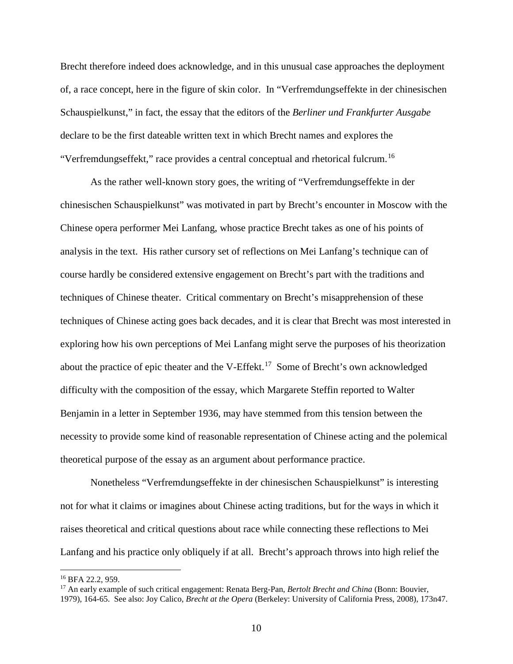Brecht therefore indeed does acknowledge, and in this unusual case approaches the deployment of, a race concept, here in the figure of skin color. In "Verfremdungseffekte in der chinesischen Schauspielkunst," in fact, the essay that the editors of the *Berliner und Frankfurter Ausgabe*  declare to be the first dateable written text in which Brecht names and explores the "Verfremdungseffekt," race provides a central conceptual and rhetorical fulcrum.<sup>[16](#page-9-0)</sup>

As the rather well-known story goes, the writing of "Verfremdungseffekte in der chinesischen Schauspielkunst" was motivated in part by Brecht's encounter in Moscow with the Chinese opera performer Mei Lanfang, whose practice Brecht takes as one of his points of analysis in the text. His rather cursory set of reflections on Mei Lanfang's technique can of course hardly be considered extensive engagement on Brecht's part with the traditions and techniques of Chinese theater. Critical commentary on Brecht's misapprehension of these techniques of Chinese acting goes back decades, and it is clear that Brecht was most interested in exploring how his own perceptions of Mei Lanfang might serve the purposes of his theorization about the practice of epic theater and the V-Effekt.<sup>[17](#page-9-1)</sup> Some of Brecht's own acknowledged difficulty with the composition of the essay, which Margarete Steffin reported to Walter Benjamin in a letter in September 1936, may have stemmed from this tension between the necessity to provide some kind of reasonable representation of Chinese acting and the polemical theoretical purpose of the essay as an argument about performance practice.

Nonetheless "Verfremdungseffekte in der chinesischen Schauspielkunst" is interesting not for what it claims or imagines about Chinese acting traditions, but for the ways in which it raises theoretical and critical questions about race while connecting these reflections to Mei Lanfang and his practice only obliquely if at all. Brecht's approach throws into high relief the

<span id="page-9-0"></span> <sup>16</sup> BFA 22.2, 959.

<span id="page-9-1"></span><sup>17</sup> An early example of such critical engagement: Renata Berg-Pan, *Bertolt Brecht and China* (Bonn: Bouvier, 1979), 164-65. See also: Joy Calico, *Brecht at the Opera* (Berkeley: University of California Press, 2008), 173n47.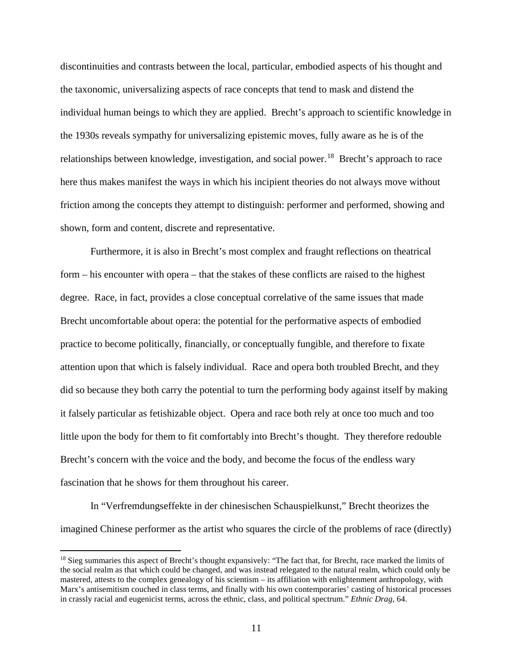discontinuities and contrasts between the local, particular, embodied aspects of his thought and the taxonomic, universalizing aspects of race concepts that tend to mask and distend the individual human beings to which they are applied. Brecht's approach to scientific knowledge in the 1930s reveals sympathy for universalizing epistemic moves, fully aware as he is of the relationships between knowledge, investigation, and social power.<sup>[18](#page-10-0)</sup> Brecht's approach to race here thus makes manifest the ways in which his incipient theories do not always move without friction among the concepts they attempt to distinguish: performer and performed, showing and shown, form and content, discrete and representative.

Furthermore, it is also in Brecht's most complex and fraught reflections on theatrical form – his encounter with opera – that the stakes of these conflicts are raised to the highest degree. Race, in fact, provides a close conceptual correlative of the same issues that made Brecht uncomfortable about opera: the potential for the performative aspects of embodied practice to become politically, financially, or conceptually fungible, and therefore to fixate attention upon that which is falsely individual. Race and opera both troubled Brecht, and they did so because they both carry the potential to turn the performing body against itself by making it falsely particular as fetishizable object. Opera and race both rely at once too much and too little upon the body for them to fit comfortably into Brecht's thought. They therefore redouble Brecht's concern with the voice and the body, and become the focus of the endless wary fascination that he shows for them throughout his career.

In "Verfremdungseffekte in der chinesischen Schauspielkunst," Brecht theorizes the imagined Chinese performer as the artist who squares the circle of the problems of race (directly)

<span id="page-10-0"></span><sup>&</sup>lt;sup>18</sup> Sieg summaries this aspect of Brecht's thought expansively: "The fact that, for Brecht, race marked the limits of the social realm as that which could be changed, and was instead relegated to the natural realm, which could only be mastered, attests to the complex genealogy of his scientism – its affiliation with enlightenment anthropology, with Marx's antisemitism couched in class terms, and finally with his own contemporaries' casting of historical processes in crassly racial and eugenicist terms, across the ethnic, class, and political spectrum." *Ethnic Drag*, 64.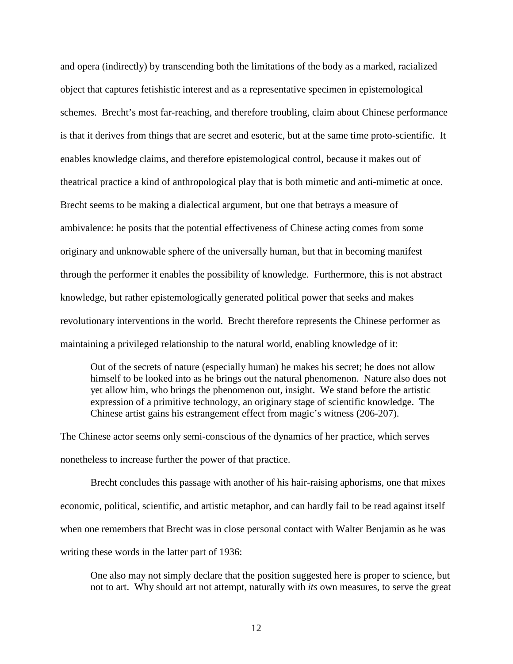and opera (indirectly) by transcending both the limitations of the body as a marked, racialized object that captures fetishistic interest and as a representative specimen in epistemological schemes. Brecht's most far-reaching, and therefore troubling, claim about Chinese performance is that it derives from things that are secret and esoteric, but at the same time proto-scientific. It enables knowledge claims, and therefore epistemological control, because it makes out of theatrical practice a kind of anthropological play that is both mimetic and anti-mimetic at once. Brecht seems to be making a dialectical argument, but one that betrays a measure of ambivalence: he posits that the potential effectiveness of Chinese acting comes from some originary and unknowable sphere of the universally human, but that in becoming manifest through the performer it enables the possibility of knowledge. Furthermore, this is not abstract knowledge, but rather epistemologically generated political power that seeks and makes revolutionary interventions in the world. Brecht therefore represents the Chinese performer as maintaining a privileged relationship to the natural world, enabling knowledge of it:

Out of the secrets of nature (especially human) he makes his secret; he does not allow himself to be looked into as he brings out the natural phenomenon. Nature also does not yet allow him, who brings the phenomenon out, insight. We stand before the artistic expression of a primitive technology, an originary stage of scientific knowledge. The Chinese artist gains his estrangement effect from magic's witness (206-207).

The Chinese actor seems only semi-conscious of the dynamics of her practice, which serves nonetheless to increase further the power of that practice.

Brecht concludes this passage with another of his hair-raising aphorisms, one that mixes economic, political, scientific, and artistic metaphor, and can hardly fail to be read against itself when one remembers that Brecht was in close personal contact with Walter Benjamin as he was writing these words in the latter part of 1936:

One also may not simply declare that the position suggested here is proper to science, but not to art. Why should art not attempt, naturally with *its* own measures, to serve the great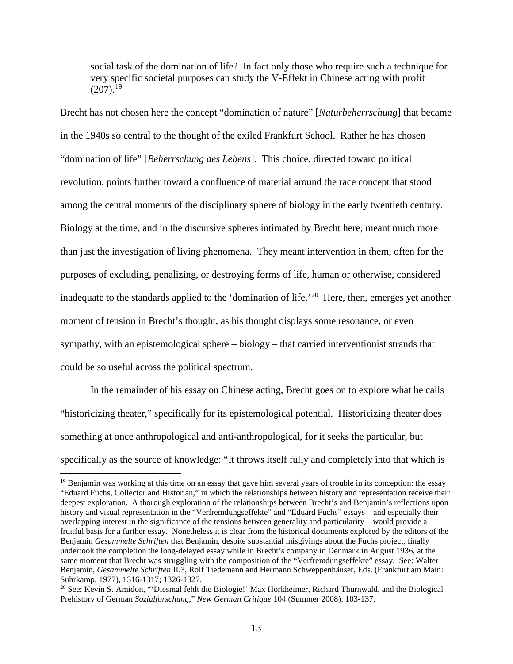social task of the domination of life? In fact only those who require such a technique for very specific societal purposes can study the V-Effekt in Chinese acting with profit  $(207)$ <sup>[19](#page-12-0)</sup>

Brecht has not chosen here the concept "domination of nature" [*Naturbeherrschung*] that became in the 1940s so central to the thought of the exiled Frankfurt School. Rather he has chosen "domination of life" [*Beherrschung des Lebens*]. This choice, directed toward political revolution, points further toward a confluence of material around the race concept that stood among the central moments of the disciplinary sphere of biology in the early twentieth century. Biology at the time, and in the discursive spheres intimated by Brecht here, meant much more than just the investigation of living phenomena. They meant intervention in them, often for the purposes of excluding, penalizing, or destroying forms of life, human or otherwise, considered inadequate to the standards applied to the 'domination of life.'[20](#page-12-1) Here, then, emerges yet another moment of tension in Brecht's thought, as his thought displays some resonance, or even sympathy, with an epistemological sphere – biology – that carried interventionist strands that could be so useful across the political spectrum.

In the remainder of his essay on Chinese acting, Brecht goes on to explore what he calls "historicizing theater," specifically for its epistemological potential. Historicizing theater does something at once anthropological and anti-anthropological, for it seeks the particular, but specifically as the source of knowledge: "It throws itself fully and completely into that which is

<span id="page-12-0"></span> $<sup>19</sup>$  Benjamin was working at this time on an essay that gave him several years of trouble in its conception: the essay</sup> "Eduard Fuchs, Collector and Historian," in which the relationships between history and representation receive their deepest exploration. A thorough exploration of the relationships between Brecht's and Benjamin's reflections upon history and visual representation in the "Verfremdungseffekte" and "Eduard Fuchs" essays – and especially their overlapping interest in the significance of the tensions between generality and particularity – would provide a fruitful basis for a further essay. Nonetheless it is clear from the historical documents explored by the editors of the Benjamin *Gesammelte Schriften* that Benjamin, despite substantial misgivings about the Fuchs project, finally undertook the completion the long-delayed essay while in Brecht's company in Denmark in August 1936, at the same moment that Brecht was struggling with the composition of the "Verfremdungseffekte" essay. See: Walter Benjamin, *Gesammelte Schriften* II.3, Rolf Tiedemann and Hermann Schweppenhäuser, Eds. (Frankfurt am Main: Suhrkamp, 1977), 1316-1317; 1326-1327.

<span id="page-12-1"></span><sup>20</sup> See: Kevin S. Amidon, "'Diesmal fehlt die Biologie!' Max Horkheimer, Richard Thurnwald, and the Biological Prehistory of German *Sozialforschung*," *New German Critique* 104 (Summer 2008): 103-137.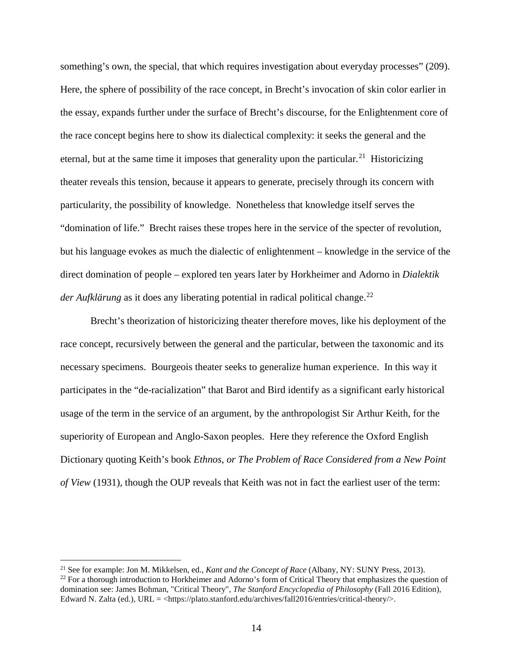something's own, the special, that which requires investigation about everyday processes" (209). Here, the sphere of possibility of the race concept, in Brecht's invocation of skin color earlier in the essay, expands further under the surface of Brecht's discourse, for the Enlightenment core of the race concept begins here to show its dialectical complexity: it seeks the general and the eternal, but at the same time it imposes that generality upon the particular.<sup>21</sup> Historicizing theater reveals this tension, because it appears to generate, precisely through its concern with particularity, the possibility of knowledge. Nonetheless that knowledge itself serves the "domination of life." Brecht raises these tropes here in the service of the specter of revolution, but his language evokes as much the dialectic of enlightenment – knowledge in the service of the direct domination of people – explored ten years later by Horkheimer and Adorno in *Dialektik der Aufklärung* as it does any liberating potential in radical political change.<sup>[22](#page-13-1)</sup>

Brecht's theorization of historicizing theater therefore moves, like his deployment of the race concept, recursively between the general and the particular, between the taxonomic and its necessary specimens. Bourgeois theater seeks to generalize human experience. In this way it participates in the "de-racialization" that Barot and Bird identify as a significant early historical usage of the term in the service of an argument, by the anthropologist Sir Arthur Keith, for the superiority of European and Anglo-Saxon peoples. Here they reference the Oxford English Dictionary quoting Keith's book *Ethnos, or The Problem of Race Considered from a New Point of View* (1931), though the OUP reveals that Keith was not in fact the earliest user of the term:

<span id="page-13-1"></span><span id="page-13-0"></span> <sup>21</sup> See for example: Jon M. Mikkelsen, ed., *Kant and the Concept of Race* (Albany, NY: SUNY Press, 2013). <sup>22</sup> For a thorough introduction to Horkheimer and Adorno's form of Critical Theory that emphasizes the question of domination see: James Bohman, "Critical Theory", *The Stanford Encyclopedia of Philosophy* (Fall 2016 Edition), Edward N. Zalta (ed.), URL = <https://plato.stanford.edu/archives/fall2016/entries/critical-theory/>.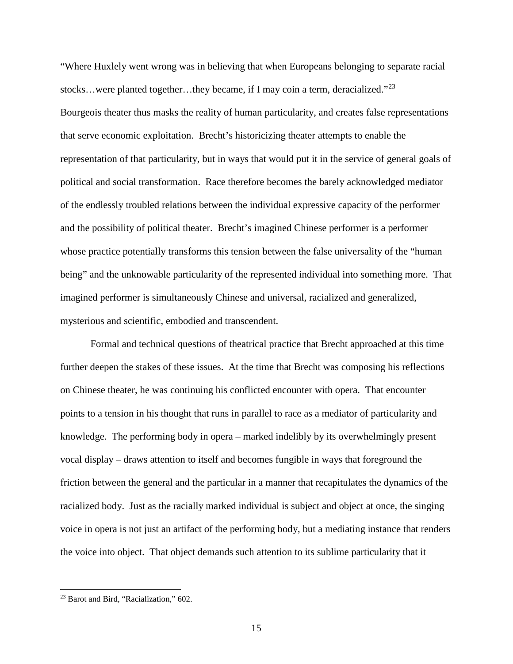"Where Huxlely went wrong was in believing that when Europeans belonging to separate racial stocks…were planted together…they became, if I may coin a term, deracialized."<sup>[23](#page-14-0)</sup> Bourgeois theater thus masks the reality of human particularity, and creates false representations that serve economic exploitation. Brecht's historicizing theater attempts to enable the representation of that particularity, but in ways that would put it in the service of general goals of political and social transformation. Race therefore becomes the barely acknowledged mediator of the endlessly troubled relations between the individual expressive capacity of the performer and the possibility of political theater. Brecht's imagined Chinese performer is a performer whose practice potentially transforms this tension between the false universality of the "human being" and the unknowable particularity of the represented individual into something more. That imagined performer is simultaneously Chinese and universal, racialized and generalized, mysterious and scientific, embodied and transcendent.

Formal and technical questions of theatrical practice that Brecht approached at this time further deepen the stakes of these issues. At the time that Brecht was composing his reflections on Chinese theater, he was continuing his conflicted encounter with opera. That encounter points to a tension in his thought that runs in parallel to race as a mediator of particularity and knowledge. The performing body in opera – marked indelibly by its overwhelmingly present vocal display – draws attention to itself and becomes fungible in ways that foreground the friction between the general and the particular in a manner that recapitulates the dynamics of the racialized body. Just as the racially marked individual is subject and object at once, the singing voice in opera is not just an artifact of the performing body, but a mediating instance that renders the voice into object. That object demands such attention to its sublime particularity that it

<span id="page-14-0"></span><sup>&</sup>lt;sup>23</sup> Barot and Bird, "Racialization," 602.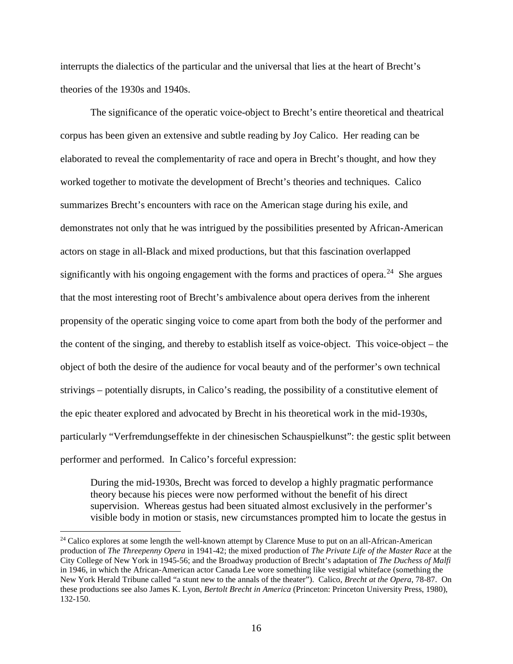interrupts the dialectics of the particular and the universal that lies at the heart of Brecht's theories of the 1930s and 1940s.

The significance of the operatic voice-object to Brecht's entire theoretical and theatrical corpus has been given an extensive and subtle reading by Joy Calico. Her reading can be elaborated to reveal the complementarity of race and opera in Brecht's thought, and how they worked together to motivate the development of Brecht's theories and techniques. Calico summarizes Brecht's encounters with race on the American stage during his exile, and demonstrates not only that he was intrigued by the possibilities presented by African-American actors on stage in all-Black and mixed productions, but that this fascination overlapped significantly with his ongoing engagement with the forms and practices of opera.<sup>24</sup> She argues that the most interesting root of Brecht's ambivalence about opera derives from the inherent propensity of the operatic singing voice to come apart from both the body of the performer and the content of the singing, and thereby to establish itself as voice-object. This voice-object – the object of both the desire of the audience for vocal beauty and of the performer's own technical strivings – potentially disrupts, in Calico's reading, the possibility of a constitutive element of the epic theater explored and advocated by Brecht in his theoretical work in the mid-1930s, particularly "Verfremdungseffekte in der chinesischen Schauspielkunst": the gestic split between performer and performed. In Calico's forceful expression:

During the mid-1930s, Brecht was forced to develop a highly pragmatic performance theory because his pieces were now performed without the benefit of his direct supervision. Whereas gestus had been situated almost exclusively in the performer's visible body in motion or stasis, new circumstances prompted him to locate the gestus in

<span id="page-15-0"></span> $24$  Calico explores at some length the well-known attempt by Clarence Muse to put on an all-African-American production of *The Threepenny Opera* in 1941-42; the mixed production of *The Private Life of the Master Race* at the City College of New York in 1945-56; and the Broadway production of Brecht's adaptation of *The Duchess of Malfi* in 1946, in which the African-American actor Canada Lee wore something like vestigial whiteface (something the New York Herald Tribune called "a stunt new to the annals of the theater"). Calico, *Brecht at the Opera*, 78-87. On these productions see also James K. Lyon, *Bertolt Brecht in America* (Princeton: Princeton University Press, 1980), 132-150.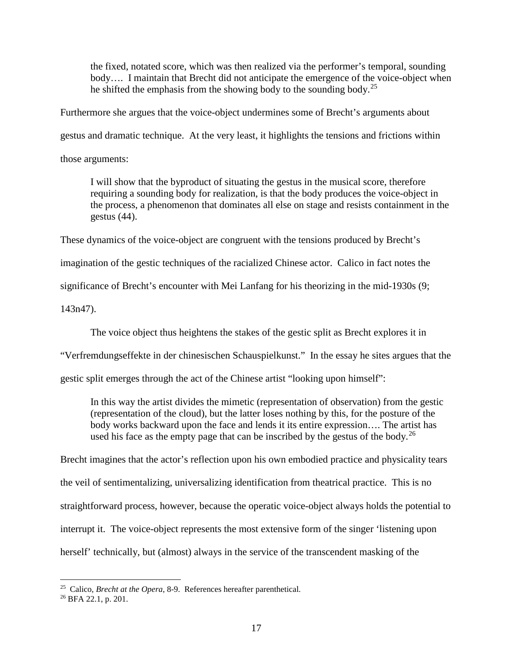the fixed, notated score, which was then realized via the performer's temporal, sounding body.... I maintain that Brecht did not anticipate the emergence of the voice-object when he shifted the emphasis from the showing body to the sounding body.<sup>[25](#page-16-0)</sup>

Furthermore she argues that the voice-object undermines some of Brecht's arguments about

gestus and dramatic technique. At the very least, it highlights the tensions and frictions within

those arguments:

I will show that the byproduct of situating the gestus in the musical score, therefore requiring a sounding body for realization, is that the body produces the voice-object in the process, a phenomenon that dominates all else on stage and resists containment in the gestus (44).

These dynamics of the voice-object are congruent with the tensions produced by Brecht's

imagination of the gestic techniques of the racialized Chinese actor. Calico in fact notes the

significance of Brecht's encounter with Mei Lanfang for his theorizing in the mid-1930s (9;

143n47).

The voice object thus heightens the stakes of the gestic split as Brecht explores it in

"Verfremdungseffekte in der chinesischen Schauspielkunst." In the essay he sites argues that the

gestic split emerges through the act of the Chinese artist "looking upon himself":

In this way the artist divides the mimetic (representation of observation) from the gestic (representation of the cloud), but the latter loses nothing by this, for the posture of the body works backward upon the face and lends it its entire expression…. The artist has used his face as the empty page that can be inscribed by the gestus of the body.<sup>[26](#page-16-1)</sup>

Brecht imagines that the actor's reflection upon his own embodied practice and physicality tears the veil of sentimentalizing, universalizing identification from theatrical practice. This is no straightforward process, however, because the operatic voice-object always holds the potential to interrupt it. The voice-object represents the most extensive form of the singer 'listening upon herself' technically, but (almost) always in the service of the transcendent masking of the

<span id="page-16-0"></span> <sup>25</sup> Calico, *Brecht at the Opera*, 8-9. References hereafter parenthetical.

<span id="page-16-1"></span><sup>26</sup> BFA 22.1, p. 201.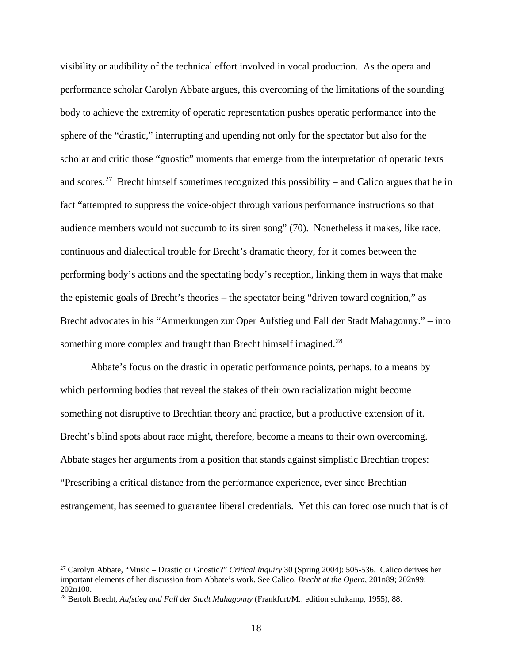visibility or audibility of the technical effort involved in vocal production. As the opera and performance scholar Carolyn Abbate argues, this overcoming of the limitations of the sounding body to achieve the extremity of operatic representation pushes operatic performance into the sphere of the "drastic," interrupting and upending not only for the spectator but also for the scholar and critic those "gnostic" moments that emerge from the interpretation of operatic texts and scores.<sup>[27](#page-17-0)</sup> Brecht himself sometimes recognized this possibility – and Calico argues that he in fact "attempted to suppress the voice-object through various performance instructions so that audience members would not succumb to its siren song" (70). Nonetheless it makes, like race, continuous and dialectical trouble for Brecht's dramatic theory, for it comes between the performing body's actions and the spectating body's reception, linking them in ways that make the epistemic goals of Brecht's theories – the spectator being "driven toward cognition," as Brecht advocates in his "Anmerkungen zur Oper Aufstieg und Fall der Stadt Mahagonny." – into something more complex and fraught than Brecht himself imagined.<sup>[28](#page-17-1)</sup>

Abbate's focus on the drastic in operatic performance points, perhaps, to a means by which performing bodies that reveal the stakes of their own racialization might become something not disruptive to Brechtian theory and practice, but a productive extension of it. Brecht's blind spots about race might, therefore, become a means to their own overcoming. Abbate stages her arguments from a position that stands against simplistic Brechtian tropes: "Prescribing a critical distance from the performance experience, ever since Brechtian estrangement, has seemed to guarantee liberal credentials. Yet this can foreclose much that is of

<span id="page-17-0"></span> <sup>27</sup> Carolyn Abbate, "Music – Drastic or Gnostic?" *Critical Inquiry* 30 (Spring 2004): 505-536. Calico derives her important elements of her discussion from Abbate's work. See Calico, *Brecht at the Opera*, 201n89; 202n99; 202n100.

<span id="page-17-1"></span><sup>28</sup> Bertolt Brecht, *Aufstieg und Fall der Stadt Mahagonny* (Frankfurt/M.: edition suhrkamp, 1955), 88.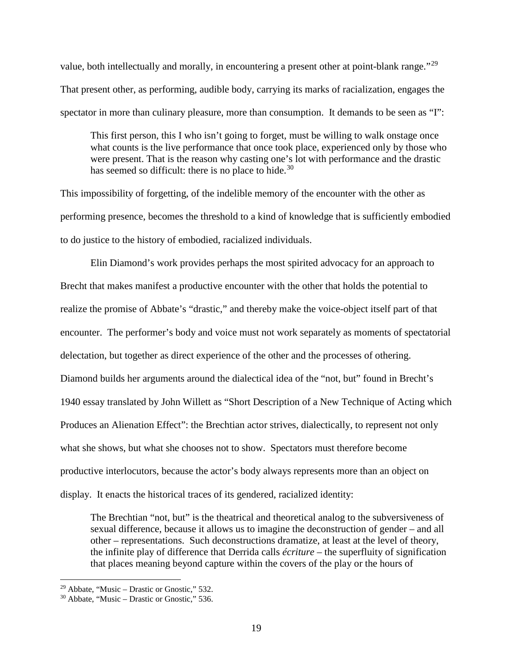value, both intellectually and morally, in encountering a present other at point-blank range."<sup>29</sup> That present other, as performing, audible body, carrying its marks of racialization, engages the spectator in more than culinary pleasure, more than consumption. It demands to be seen as "I":

This first person, this I who isn't going to forget, must be willing to walk onstage once what counts is the live performance that once took place, experienced only by those who were present. That is the reason why casting one's lot with performance and the drastic has seemed so difficult: there is no place to hide.<sup>[30](#page-18-1)</sup>

This impossibility of forgetting, of the indelible memory of the encounter with the other as performing presence, becomes the threshold to a kind of knowledge that is sufficiently embodied to do justice to the history of embodied, racialized individuals.

Elin Diamond's work provides perhaps the most spirited advocacy for an approach to Brecht that makes manifest a productive encounter with the other that holds the potential to realize the promise of Abbate's "drastic," and thereby make the voice-object itself part of that encounter. The performer's body and voice must not work separately as moments of spectatorial delectation, but together as direct experience of the other and the processes of othering. Diamond builds her arguments around the dialectical idea of the "not, but" found in Brecht's 1940 essay translated by John Willett as "Short Description of a New Technique of Acting which Produces an Alienation Effect": the Brechtian actor strives, dialectically, to represent not only what she shows, but what she chooses not to show. Spectators must therefore become productive interlocutors, because the actor's body always represents more than an object on display. It enacts the historical traces of its gendered, racialized identity:

The Brechtian "not, but" is the theatrical and theoretical analog to the subversiveness of sexual difference, because it allows us to imagine the deconstruction of gender – and all other – representations. Such deconstructions dramatize, at least at the level of theory, the infinite play of difference that Derrida calls *écriture* – the superfluity of signification that places meaning beyond capture within the covers of the play or the hours of

<span id="page-18-0"></span> $29$  Abbate, "Music – Drastic or Gnostic," 532.

<span id="page-18-1"></span><sup>30</sup> Abbate, "Music – Drastic or Gnostic," 536.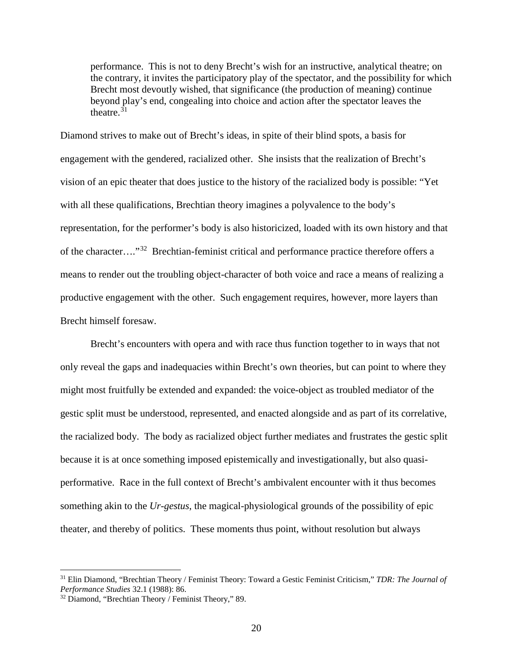performance. This is not to deny Brecht's wish for an instructive, analytical theatre; on the contrary, it invites the participatory play of the spectator, and the possibility for which Brecht most devoutly wished, that significance (the production of meaning) continue beyond play's end, congealing into choice and action after the spectator leaves the theatre.  $31$ 

Diamond strives to make out of Brecht's ideas, in spite of their blind spots, a basis for engagement with the gendered, racialized other. She insists that the realization of Brecht's vision of an epic theater that does justice to the history of the racialized body is possible: "Yet with all these qualifications, Brechtian theory imagines a polyvalence to the body's representation, for the performer's body is also historicized, loaded with its own history and that of the character…."[32](#page-19-1) Brechtian-feminist critical and performance practice therefore offers a means to render out the troubling object-character of both voice and race a means of realizing a productive engagement with the other. Such engagement requires, however, more layers than Brecht himself foresaw.

Brecht's encounters with opera and with race thus function together to in ways that not only reveal the gaps and inadequacies within Brecht's own theories, but can point to where they might most fruitfully be extended and expanded: the voice-object as troubled mediator of the gestic split must be understood, represented, and enacted alongside and as part of its correlative, the racialized body. The body as racialized object further mediates and frustrates the gestic split because it is at once something imposed epistemically and investigationally, but also quasiperformative. Race in the full context of Brecht's ambivalent encounter with it thus becomes something akin to the *Ur-gestus*, the magical-physiological grounds of the possibility of epic theater, and thereby of politics. These moments thus point, without resolution but always

<span id="page-19-0"></span> <sup>31</sup> Elin Diamond, "Brechtian Theory / Feminist Theory: Toward a Gestic Feminist Criticism," *TDR: The Journal of Performance Studies* 32.1 (1988): 86.

<span id="page-19-1"></span><sup>32</sup> Diamond, "Brechtian Theory / Feminist Theory," 89.